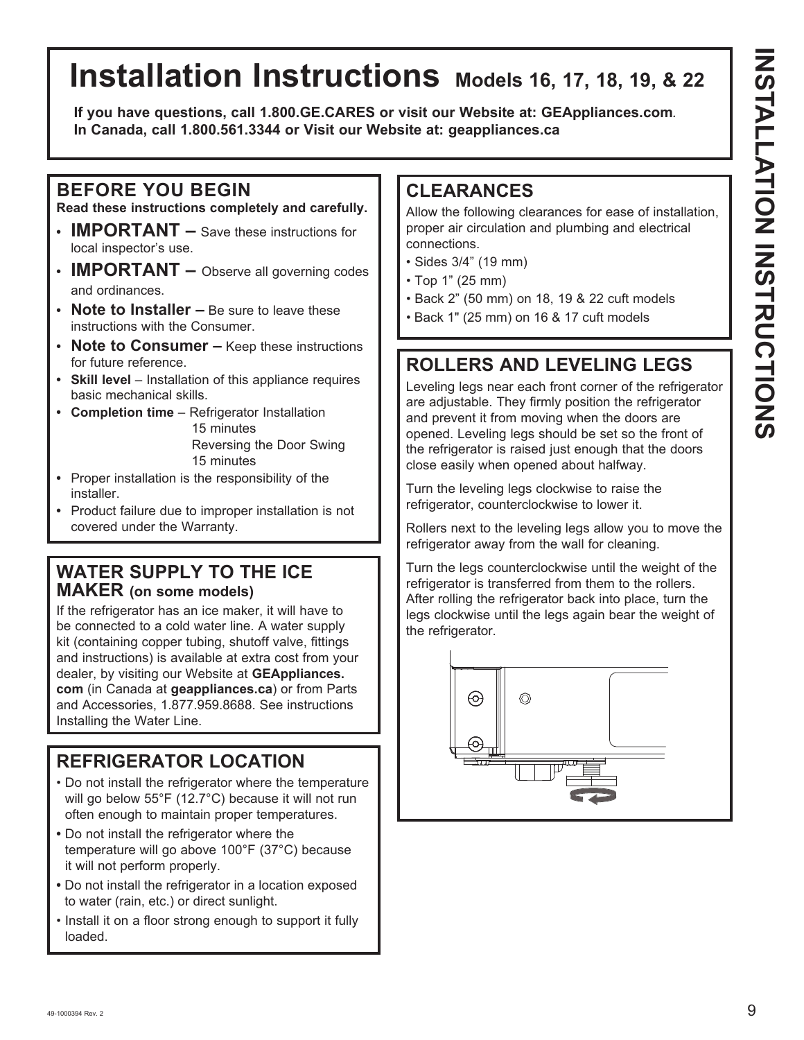# **Installation Instructions Models 16, 17, 18, 19, & 22**

**If you have questions, call 1.800.GE.CARES or visit our Website at: GEAppliances.com***.*  **In Canada, call 1.800.561.3344 or Visit our Website at: geappliances.ca**

### **BEFORE YOU BEGIN**

**Read these instructions completely and carefully.**

- **IMPORTANT –** Save these instructions for local inspector's use.
- **IMPORTANT** Observe all governing codes and ordinances.
- **Note to Installer –** Be sure to leave these instructions with the Consumer.
- **Note to Consumer –** Keep these instructions for future reference.
- Skill level Installation of this appliance requires basic mechanical skills.
- Completion time Refrigerator Installation 15 minutes Reversing the Door Swing

15 minutes

- **•** Proper installation is the responsibility of the installer.
- **•** Product failure due to improper installation is not covered under the Warranty.

#### **WATER SUPPLY TO THE ICE MAKER (on some models)**

If the refrigerator has an ice maker, it will have to be connected to a cold water line. A water supply kit (containing copper tubing, shutoff valve, fittings and instructions) is available at extra cost from your dealer, by visiting our Website at **GEAppliances. com** (in Canada at **geappliances.ca**) or from Parts and Accessories, 1.877.959.8688. See instructions Installing the Water Line.

### **REFRIGERATOR LOCATION**

- Do not install the refrigerator where the temperature will go below 55°F (12.7°C) because it will not run often enough to maintain proper temperatures.
- Do not install the refrigerator where the temperature will go above 100°F (37°C) because it will not perform properly.
- Do not install the refrigerator in a location exposed to water (rain, etc.) or direct sunlight.
- Install it on a floor strong enough to support it fully loaded.

#### **CLEARANCES**

Allow the following clearances for ease of installation, proper air circulation and plumbing and electrical connections.

- Sides 3/4" (19 mm)
- $\cdot$  Top 1" (25 mm)
- Back 2" (50 mm) on 18, 19 & 22 cuft models
- Back 1" (25 mm) on 16 & 17 cuft models

### **ROLLERS AND LEVELING LEGS**

Leveling legs near each front corner of the refrigerator are adjustable. They firmly position the refrigerator and prevent it from moving when the doors are opened. Leveling legs should be set so the front of the refrigerator is raised just enough that the doors close easily when opened about halfway.

Turn the leveling legs clockwise to raise the refrigerator, counterclockwise to lower it.

Rollers next to the leveling legs allow you to move the refrigerator away from the wall for cleaning.

Turn the legs counterclockwise until the weight of the refrigerator is transferred from them to the rollers. After rolling the refrigerator back into place, turn the legs clockwise until the legs again bear the weight of the refrigerator.

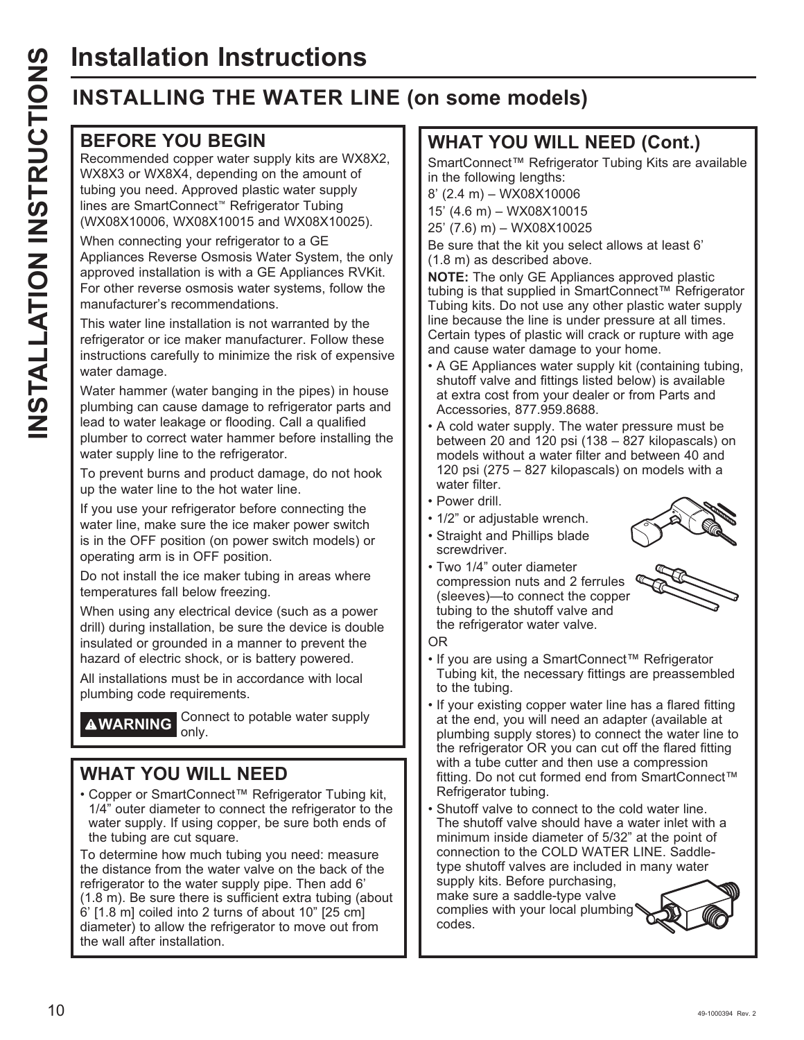# **Installation Instructions**

## **INSTALLING THE WATER LINE (on some models)**

#### **BEFORE YOU BEGIN**

Recommended copper water supply kits are WX8X2, WX8X3 or WX8X4, depending on the amount of tubing you need. Approved plastic water supply lines are SmartConnect™ Refrigerator Tubing (WX08X10006, WX08X10015 and WX08X10025).

When connecting your refrigerator to a GE Appliances Reverse Osmosis Water System, the only approved installation is with a GE Appliances RVKit. For other reverse osmosis water systems, follow the manufacturer's recommendations.

This water line installation is not warranted by the refrigerator or ice maker manufacturer. Follow these instructions carefully to minimize the risk of expensive water damage.

Water hammer (water banging in the pipes) in house plumbing can cause damage to refrigerator parts and lead to water leakage or flooding. Call a qualified plumber to correct water hammer before installing the water supply line to the refrigerator.

To prevent burns and product damage, do not hook up the water line to the hot water line.

If you use your refrigerator before connecting the water line, make sure the ice maker power switch is in the OFF position (on power switch models) or operating arm is in OFF position.

Do not install the ice maker tubing in areas where temperatures fall below freezing.

When using any electrical device (such as a power drill) during installation, be sure the device is double insulated or grounded in a manner to prevent the hazard of electric shock, or is battery powered.

All installations must be in accordance with local plumbing code requirements.

**AWARNING** Connect to potable water supply only.

#### **WHAT YOU WILL NEED**

• Copper or SmartConnect™ Refrigerator Tubing kit, 1/4" outer diameter to connect the refrigerator to the water supply. If using copper, be sure both ends of the tubing are cut square.

To determine how much tubing you need: measure the distance from the water valve on the back of the refrigerator to the water supply pipe. Then add 6' (1.8 m). Be sure there is sufficient extra tubing (about  $6'$  [1.8 m] coiled into 2 turns of about 10" [25 cm] diameter) to allow the refrigerator to move out from the wall after installation.

#### **WHAT YOU WILL NEED (Cont.)**

SmartConnect™ Refrigerator Tubing Kits are available in the following lengths:

 $8'$  (2.4 m) - WX08X10006

15' (4.6 m) - WX08X10015

25' (7.6) m) - WX08X10025

Be sure that the kit you select allows at least 6' (1.8 m) as described above.

**NOTE:** The only GE Appliances approved plastic tubing is that supplied in SmartConnect™ Refrigerator Tubing kits. Do not use any other plastic water supply line because the line is under pressure at all times. Certain types of plastic will crack or rupture with age and cause water damage to your home.

- A GE Appliances water supply kit (containing tubing, shutoff valve and fittings listed below) is available at extra cost from your dealer or from Parts and Accessories, 877.959.8688.
- A cold water supply. The water pressure must be between 20 and 120 psi (138 – 827 kilopascals) on models without a water filter and between 40 and 120 psi (275 – 827 kilopascals) on models with a water filter.
- Power drill.
- 1/2" or adjustable wrench.
- Straight and Phillips blade screwdriver.
- Two 1/4" outer diameter compression nuts and 2 ferrules (sleeves)-to connect the copper tubing to the shutoff valve and the refrigerator water valve.





OR

- If you are using a SmartConnect™ Refrigerator Tubing kit, the necessary fittings are preassembled to the tubing.
- If your existing copper water line has a flared fitting at the end, you will need an adapter (available at plumbing supply stores) to connect the water line to the refrigerator OR you can cut off the flared fitting with a tube cutter and then use a compression fitting. Do not cut formed end from SmartConnect™ Refrigerator tubing.
- Shutoff valve to connect to the cold water line. The shutoff valve should have a water inlet with a minimum inside diameter of 5/32" at the point of connection to the COLD WATER LINE. Saddletype shutoff valves are included in many water

supply kits. Before purchasing, make sure a saddle-type valve complies with your local plumbing codes.

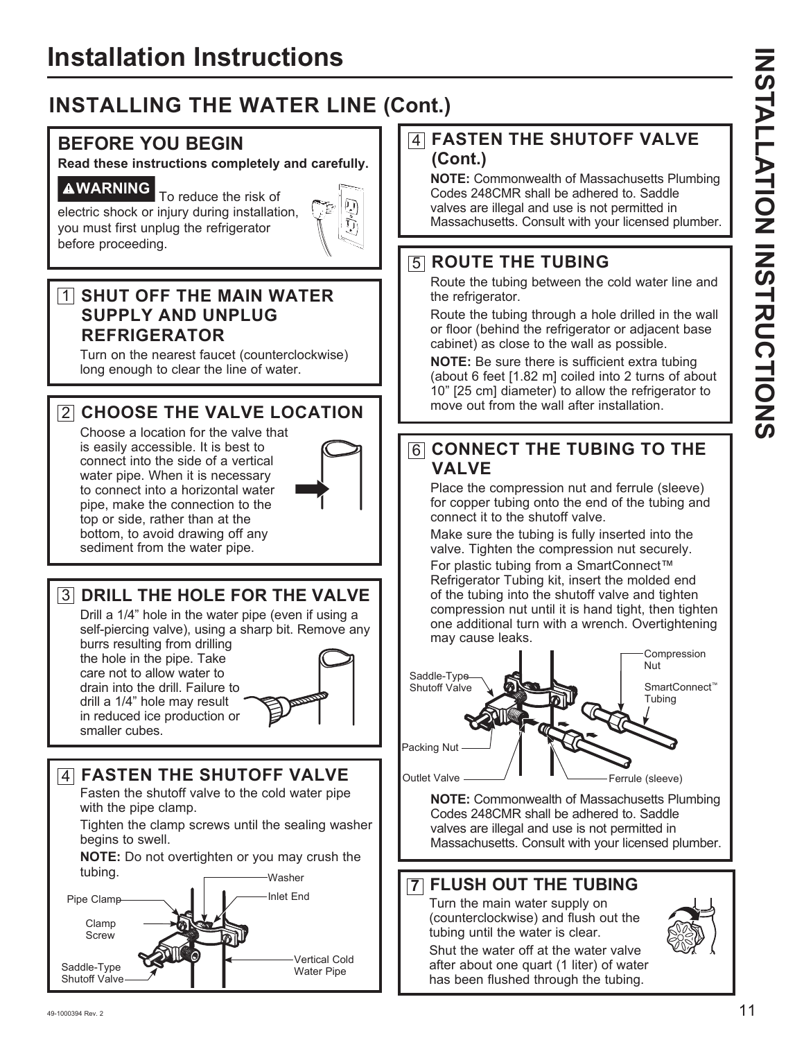## **INSTALLING THE WATER LINE (Cont.)**

#### **BEFORE YOU BEGIN**

**Read these instructions completely and carefully.**

**AWARNING** To reduce the risk of electric shock or injury during installation, you must first unplug the refrigerator before proceeding.



#### 1 **SHUT OFF THE MAIN WATER SUPPLY AND UNPLUG REFRIGERATOR**

Turn on the nearest faucet (counterclockwise) long enough to clear the line of water.

#### 2 **CHOOSE THE VALVE LOCATION**

Choose a location for the valve that is easily accessible. It is best to connect into the side of a vertical water pipe. When it is necessary to connect into a horizontal water pipe, make the connection to the top or side, rather than at the bottom, to avoid drawing off any sediment from the water pipe.



3 **DRILL THE HOLE FOR THE VALVE**

Drill a 1/4" hole in the water pipe (even if using a self-piercing valve), using a sharp bit. Remove any burrs resulting from drilling the hole in the pipe. Take care not to allow water to drain into the drill. Failure to drill a 1/4" hole may result in reduced ice production or smaller cubes.

#### 4 **FASTEN THE SHUTOFF VALVE**

Fasten the shutoff valve to the cold water pipe with the pipe clamp.

Tighten the clamp screws until the sealing washer begins to swell.

**NOTE:** Do not overtighten or you may crush the tubing. Washer



#### 4 **FASTEN THE SHUTOFF VALVE (Cont.)**

**NOTE:** Commonwealth of Massachusetts Plumbing Codes 248CMR shall be adhered to. Saddle valves are illegal and use is not permitted in Massachusetts. Consult with your licensed plumber.

#### 5 **ROUTE THE TUBING**

Route the tubing between the cold water line and the refrigerator.

Route the tubing through a hole drilled in the wall or floor (behind the refrigerator or adjacent base cabinet) as close to the wall as possible.

**NOTE:** Be sure there is sufficient extra tubing (about 6 feet [1.82 m] coiled into 2 turns of about 10" [25 cm] diameter) to allow the refrigerator to move out from the wall after installation.

#### 6 **CONNECT THE TUBING TO THE VALVE**

Place the compression nut and ferrule (sleeve) for copper tubing onto the end of the tubing and connect it to the shutoff valve.

Make sure the tubing is fully inserted into the valve. Tighten the compression nut securely. For plastic tubing from a SmartConnect™ Refrigerator Tubing kit, insert the molded end of the tubing into the shutoff valve and tighten compression nut until it is hand tight, then tighten one additional turn with a wrench. Overtightening may cause leaks.



**NOTE:** Commonwealth of Massachusetts Plumbing Codes 248CMR shall be adhered to. Saddle valves are illegal and use is not permitted in Massachusetts. Consult with your licensed plumber.

#### **7 FLUSH OUT THE TUBING**

Turn the main water supply on (counterclockwise) and flush out the tubing until the water is clear.

Shut the water off at the water valve after about one quart (1 liter) of water has been flushed through the tubing.

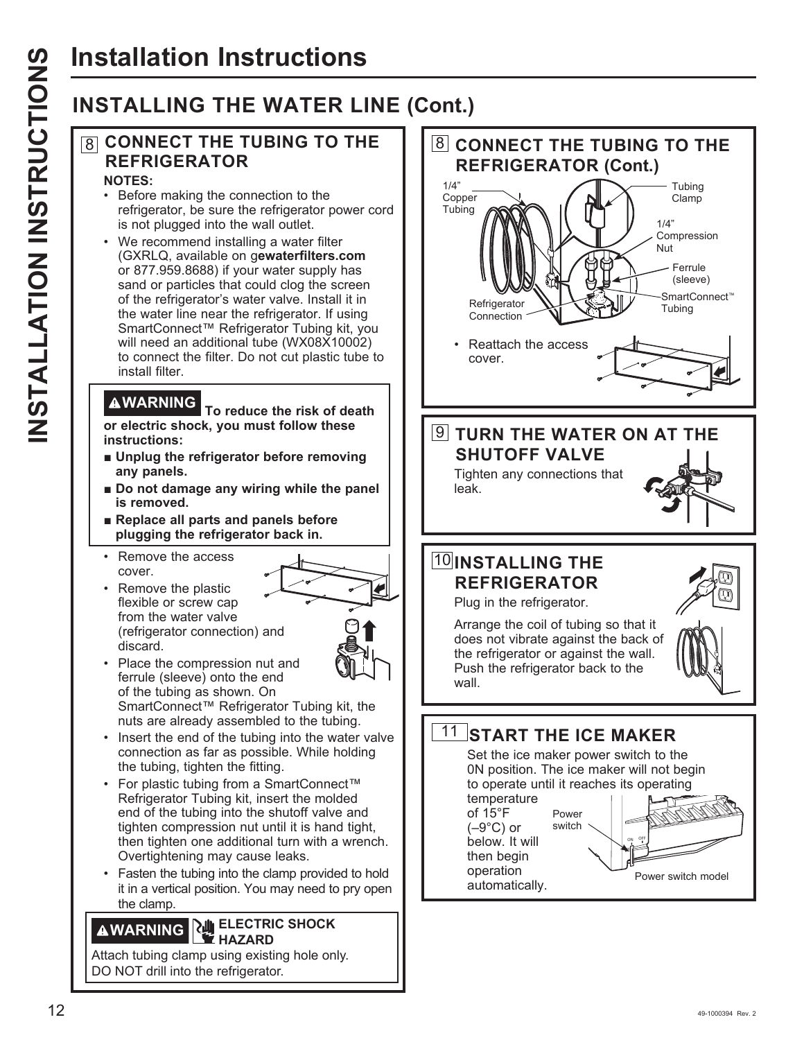## **INSTALLING THE WATER LINE (Cont.)**

#### 8 **CONNECT THE TUBING TO THE REFRIGERATOR NOTES:**

- Before making the connection to the refrigerator, be sure the refrigerator power cord is not plugged into the wall outlet.
- We recommend installing a water filter (GXRLQ, available on qewaterfilters.com or 877.959.8688) if your water supply has sand or particles that could clog the screen of the refrigerator's water valve. Install it in the water line near the refrigerator. If using SmartConnect™ Refrigerator Tubing kit, you will need an additional tube (WX08X10002) to connect the filter. Do not cut plastic tube to install filter.

**WARNING To reduce the risk of death or electric shock, you must follow these instructions:**

- **E** Unplug the refrigerator before removing **any panels.**
- $\blacksquare$  Do not damage any wiring while the panel **is removed.**
- **Replace all parts and panels before plugging the refrigerator back in.**
- Remove the access cover.
- Remove the plastic flexible or screw cap from the water valve (refrigerator connection) and discard.



- Place the compression nut and ferrule (sleeve) onto the end of the tubing as shown. On SmartConnect™ Refrigerator Tubing kit, the nuts are already assembled to the tubing.
- Insert the end of the tubing into the water valve connection as far as possible. While holding the tubing, tighten the fitting.
- For plastic tubing from a SmartConnect™ Refrigerator Tubing kit, insert the molded end of the tubing into the shutoff valve and tighten compression nut until it is hand tight, then tighten one additional turn with a wrench. Overtightening may cause leaks.
- Fasten the tubing into the clamp provided to hold it in a vertical position. You may need to pry open the clamp.

#### **WARNING ELECTRIC SHOCK HAZARD**

Attach tubing clamp using existing hole only. DO NOT drill into the refrigerator.

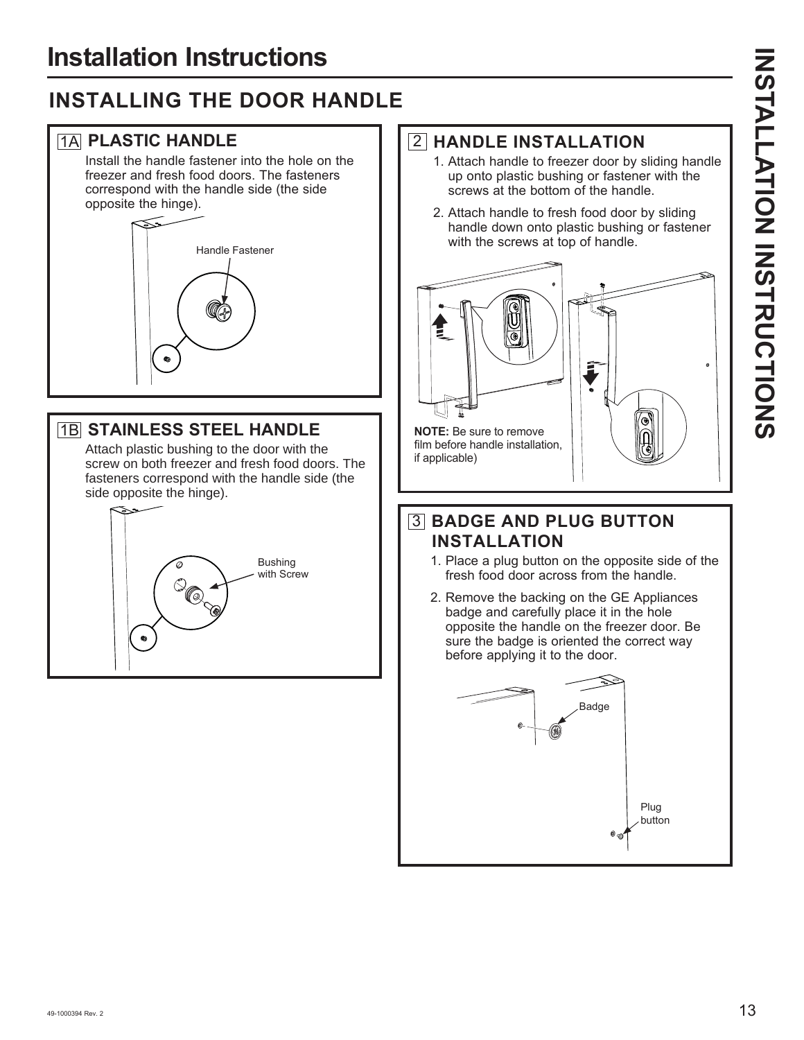## **INSTALLING THE DOOR HANDLE**

#### 1A **PLASTIC HANDLE**

Install the handle fastener into the hole on the freezer and fresh food doors. The fasteners correspond with the handle side (the side opposite the hinge).



#### 1B **STAINLESS STEEL HANDLE**

Attach plastic bushing to the door with the screw on both freezer and fresh food doors. The fasteners correspond with the handle side (the side opposite the hinge).



#### 2 **HANDLE INSTALLATION**

- 1. Attach handle to freezer door by sliding handle up onto plastic bushing or fastener with the screws at the bottom of the handle.
- 2. Attach handle to fresh food door by sliding handle down onto plastic bushing or fastener with the screws at top of handle.



#### 3 **BADGE AND PLUG BUTTON INSTALLATION**

- 1. Place a plug button on the opposite side of the fresh food door across from the handle.
- 2. Remove the backing on the GE Appliances badge and carefully place it in the hole opposite the handle on the freezer door. Be sure the badge is oriented the correct way before applying it to the door.

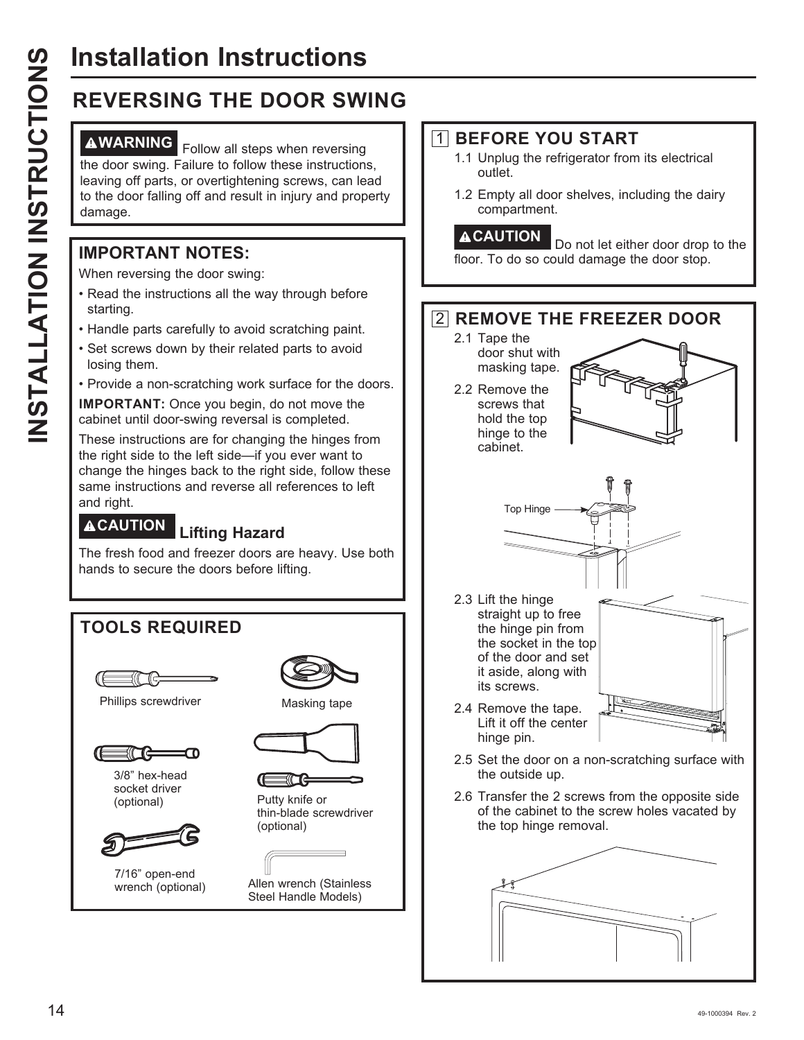# **Installation Instructions**

## **REVERSING THE DOOR SWING**

**AWARNING** Follow all steps when reversing the door swing. Failure to follow these instructions, leaving off parts, or overtightening screws, can lead to the door falling off and result in injury and property damage.

#### **IMPORTANT NOTES:**

When reversing the door swing:

- Read the instructions all the way through before starting.
- Handle parts carefully to avoid scratching paint.
- Set screws down by their related parts to avoid losing them.
- Provide a non-scratching work surface for the doors.

**IMPORTANT:** Once you begin, do not move the cabinet until door-swing reversal is completed.

These instructions are for changing the hinges from the right side to the left side-if you ever want to change the hinges back to the right side, follow these same instructions and reverse all references to left and right.

### **CAUTION Lifting Hazard**

The fresh food and freezer doors are heavy. Use both hands to secure the doors before lifting.

# **TOOLS REQUIRED** Phillips screwdriver **Masking tape** 3/8" hex-head socket driver (optional) Putty knife or (optional)



7/16" open-end wrench (optional)





thin-blade screwdriver

Allen wrench (Stainless Steel Handle Models)

#### 1 **BEFORE YOU START**

- 1.1 Unplug the refrigerator from its electrical outlet.
- 1.2 Empty all door shelves, including the dairy compartment.

**ACAUTION** Do not let either door drop to the floor. To do so could damage the door stop.

#### 2 **REMOVE THE FREEZER DOOR**

- 2.1 Tape the door shut with masking tape.
- 2.2 Remove the screws that hold the top hinge to the cabinet.



its screws. 2.4 Remove the tape. Lift it off the center hinge pin.

it aside, along with

![](_page_5_Picture_33.jpeg)

2.6 Transfer the 2 screws from the opposite side of the cabinet to the screw holes vacated by the top hinge removal.

![](_page_5_Picture_35.jpeg)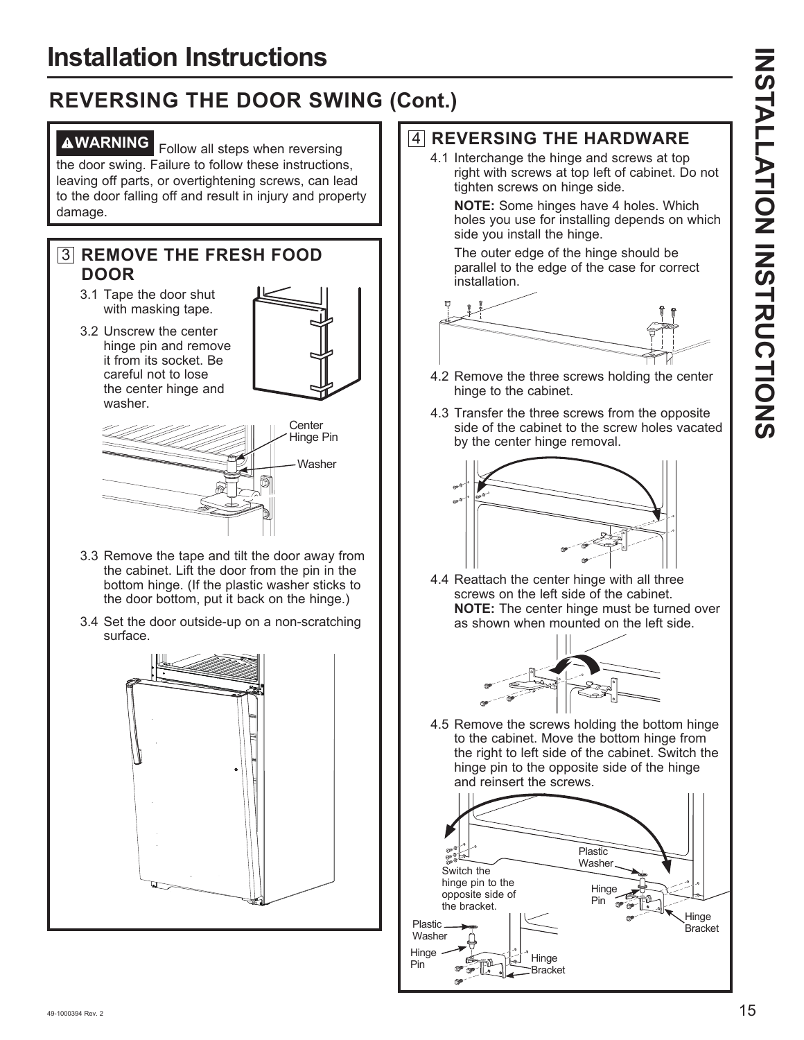## **REVERSING THE DOOR SWING (Cont.)**

**AWARNING** Follow all steps when reversing the door swing. Failure to follow these instructions, leaving off parts, or overtightening screws, can lead to the door falling off and result in injury and property damage.

#### 3 **REMOVE THE FRESH FOOD DOOR**

- 3.1 Tape the door shut with masking tape.
- 3.2 Unscrew the center hinge pin and remove it from its socket. Be careful not to lose the center hinge and washer.

![](_page_6_Figure_7.jpeg)

- 3.3 Remove the tape and tilt the door away from the cabinet. Lift the door from the pin in the bottom hinge. (If the plastic washer sticks to the door bottom, put it back on the hinge.)
- 3.4 Set the door outside-up on a non-scratching surface.

![](_page_6_Figure_10.jpeg)

#### 4 **REVERSING THE HARDWARE**

4.1 Interchange the hinge and screws at top right with screws at top left of cabinet. Do not tighten screws on hinge side.

**NOTE:** Some hinges have 4 holes. Which holes you use for installing depends on which side you install the hinge.

 The outer edge of the hinge should be parallel to the edge of the case for correct installation.

![](_page_6_Figure_15.jpeg)

- 4.2 Remove the three screws holding the center hinge to the cabinet.
- 4.3 Transfer the three screws from the opposite side of the cabinet to the screw holes vacated by the center hinge removal.

![](_page_6_Figure_18.jpeg)

4.4 Reattach the center hinge with all three screws on the left side of the cabinet. **NOTE:** The center hinge must be turned over as shown when mounted on the left side.

![](_page_6_Figure_20.jpeg)

4.5 Remove the screws holding the bottom hinge to the cabinet. Move the bottom hinge from the right to left side of the cabinet. Switch the hinge pin to the opposite side of the hinge and reinsert the screws.

![](_page_6_Figure_22.jpeg)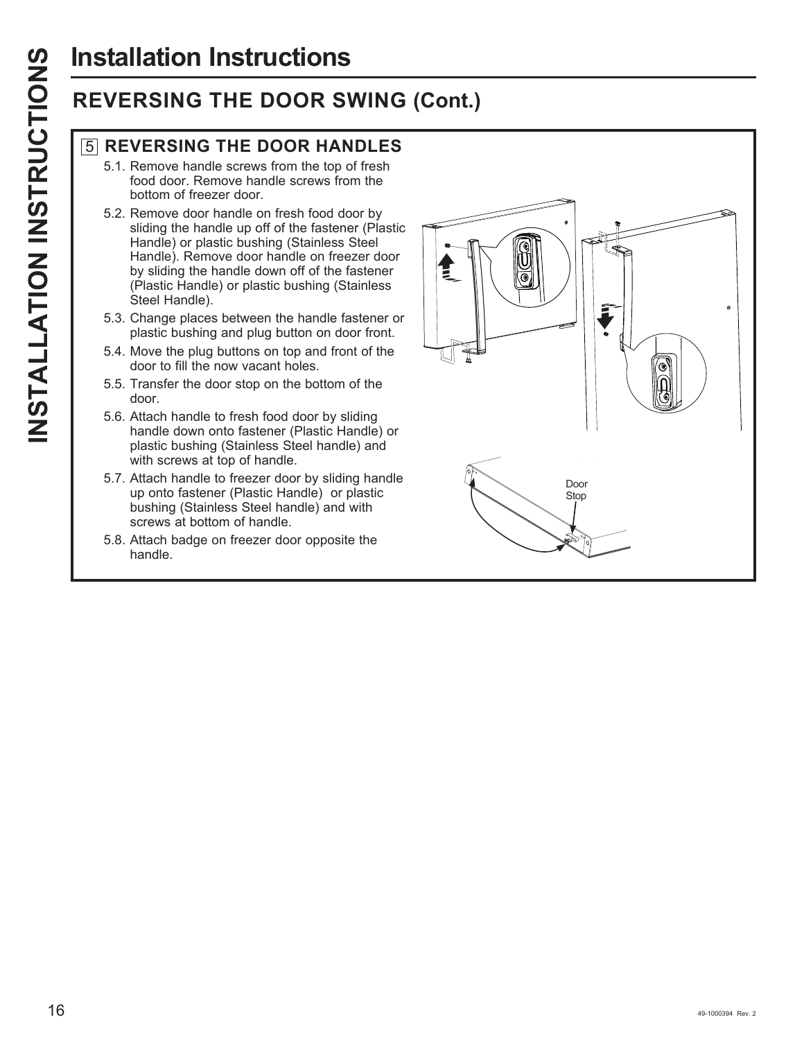# **Installation Instructions**

## **REVERSING THE DOOR SWING (Cont.)**

#### 5 **REVERSING THE DOOR HANDLES**

- 5.1. Remove handle screws from the top of fresh food door. Remove handle screws from the bottom of freezer door.
- 5.2. Remove door handle on fresh food door by sliding the handle up off of the fastener (Plastic Handle) or plastic bushing (Stainless Steel Handle). Remove door handle on freezer door by sliding the handle down off of the fastener (Plastic Handle) or plastic bushing (Stainless Steel Handle).
- 5.3. Change places between the handle fastener or plastic bushing and plug button on door front.
- 5.4. Move the plug buttons on top and front of the door to fill the now vacant holes.
- 5.5. Transfer the door stop on the bottom of the door.
- 5.6. Attach handle to fresh food door by sliding handle down onto fastener (Plastic Handle) or plastic bushing (Stainless Steel handle) and with screws at top of handle.
- 5.7. Attach handle to freezer door by sliding handle up onto fastener (Plastic Handle) or plastic bushing (Stainless Steel handle) and with screws at bottom of handle.
- 5.8. Attach badge on freezer door opposite the handle.

![](_page_7_Picture_11.jpeg)